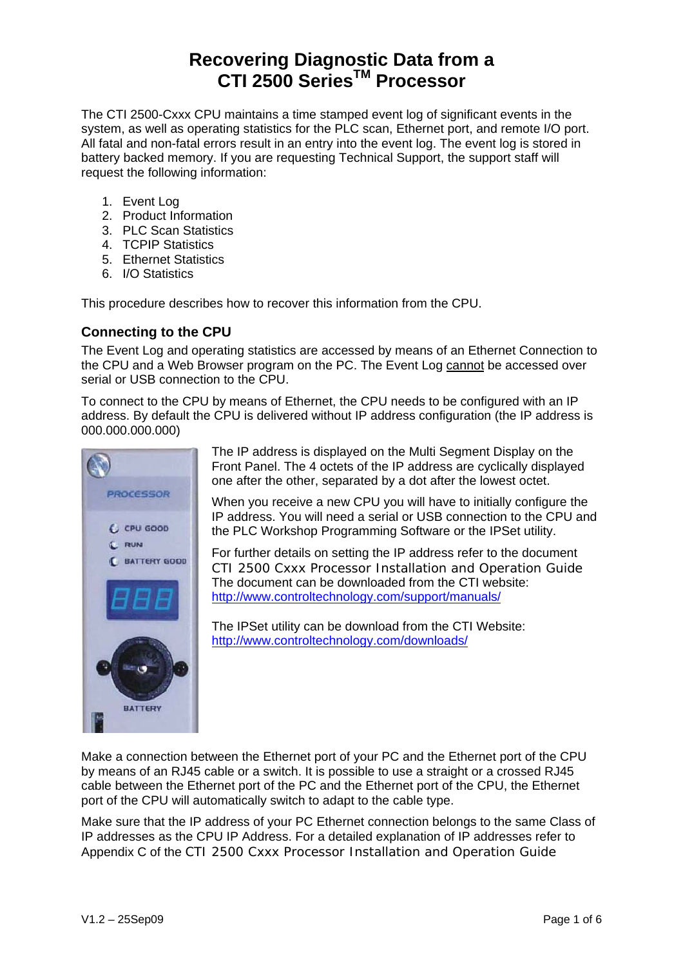### **Recovering Diagnostic Data from a CTI 2500 SeriesTM Processor**

The CTI 2500-Cxxx CPU maintains a time stamped event log of significant events in the system, as well as operating statistics for the PLC scan, Ethernet port, and remote I/O port. All fatal and non-fatal errors result in an entry into the event log. The event log is stored in battery backed memory. If you are requesting Technical Support, the support staff will request the following information:

- 1. Event Log
- 2. Product Information
- 3. PLC Scan Statistics
- 4. TCPIP Statistics
- 5. Ethernet Statistics
- 6. I/O Statistics

This procedure describes how to recover this information from the CPU.

#### **Connecting to the CPU**

The Event Log and operating statistics are accessed by means of an Ethernet Connection to the CPU and a Web Browser program on the PC. The Event Log cannot be accessed over serial or USB connection to the CPU.

To connect to the CPU by means of Ethernet, the CPU needs to be configured with an IP address. By default the CPU is delivered without IP address configuration (the IP address is 000.000.000.000)



The IP address is displayed on the Multi Segment Display on the Front Panel. The 4 octets of the IP address are cyclically displayed one after the other, separated by a dot after the lowest octet.

When you receive a new CPU you will have to initially configure the IP address. You will need a serial or USB connection to the CPU and the PLC Workshop Programming Software or the IPSet utility.

For further details on setting the IP address refer to the document *CTI 2500 Cxxx Processor Installation and Operation Guide* The document can be downloaded from the CTI website: <http://www.controltechnology.com/support/manuals/>

The IPSet utility can be download from the CTI Website: <http://www.controltechnology.com/downloads/>

Make a connection between the Ethernet port of your PC and the Ethernet port of the CPU by means of an RJ45 cable or a switch. It is possible to use a straight or a crossed RJ45 cable between the Ethernet port of the PC and the Ethernet port of the CPU, the Ethernet port of the CPU will automatically switch to adapt to the cable type.

Make sure that the IP address of your PC Ethernet connection belongs to the same Class of IP addresses as the CPU IP Address. For a detailed explanation of IP addresses refer to Appendix C of the *CTI 2500 Cxxx Processor Installation and Operation Guide*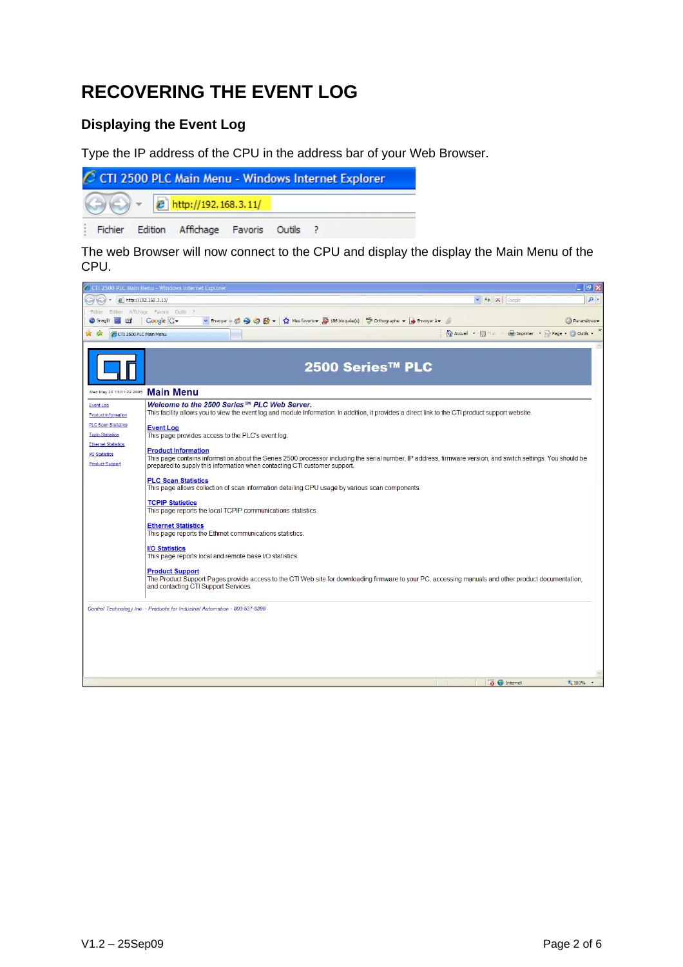# **RECOVERING THE EVENT LOG**

#### **Displaying the Event Log**

Type the IP address of the CPU in the address bar of your Web Browser.



The web Browser will now connect to the CPU and display the display the Main Menu of the CPU.

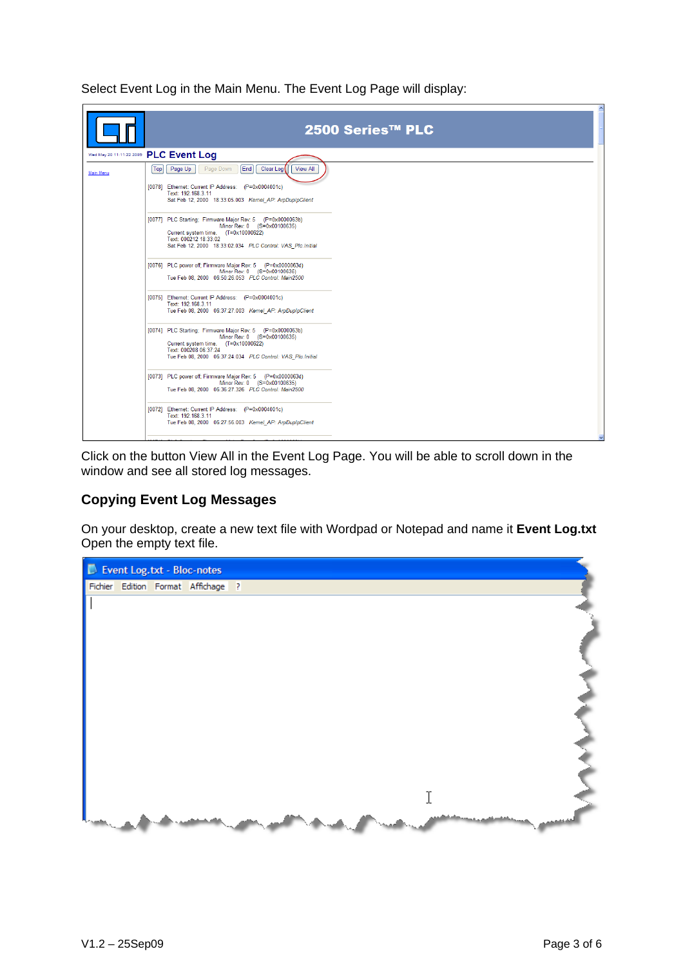Select Event Log in the Main Menu. The Event Log Page will display:

|           | 2500 Series™ PLC                                                                                                                                                                                                          |  |  |  |  |  |  |  |  |
|-----------|---------------------------------------------------------------------------------------------------------------------------------------------------------------------------------------------------------------------------|--|--|--|--|--|--|--|--|
|           | Wed May 20 11:11:22 2009 PLC Event Log                                                                                                                                                                                    |  |  |  |  |  |  |  |  |
| Main Menu | [End]<br>Clear Log<br>Top<br>Page Up<br>Page Down<br><b>View All</b>                                                                                                                                                      |  |  |  |  |  |  |  |  |
|           | [0078] Ethernet: Current IP Address: (P=0x0004001c)<br>Text: 192.168.3.11<br>Sat Feb 12, 2000 18:33:05.003 Kemel AP: ArpDupIpClient                                                                                       |  |  |  |  |  |  |  |  |
|           | [0077] PLC Starting; Firmware Major Rev: 5 (P=0x0000063b)<br>Minor Rev: 0 (S=0x00100635)<br>Current system time. (T=0x10000622)<br>Text: 000212 18:33:02<br>Sat Feb 12, 2000 18:33:02.034 PLC Control: VAS Plc.Initial    |  |  |  |  |  |  |  |  |
|           | [0076] PLC power off; Firmware Major Rev: 5 (P=0x0000063d)<br>Minor Rev: 0 (S=0x00100635)<br>Tue Feb 08, 2000 06:50:26.053 PLC Control: Main2500                                                                          |  |  |  |  |  |  |  |  |
|           | [0075] Ethernet: Current IP Address: (P=0x0004001c)<br>Text: 192.168.3.11<br>Tue Feb 08, 2000  06:37:27.003  Kernel AP: ArpDupIpClient                                                                                    |  |  |  |  |  |  |  |  |
|           | [0074] PLC Starting; Firmware Major Rev: 5 (P=0x0000063b)<br>Minor Rev: 0 (S=0x00100635)<br>Current system time. (T=0x10000622)<br>Text: 000208 06:37:24<br>Tue Feb 08, 2000  06:37:24.034  PLC Control: VAS  Plc.Initial |  |  |  |  |  |  |  |  |
|           | [0073] PLC power off; Firmware Major Rev: 5 (P=0x0000063d)<br>Minor Rev: 0 (S=0x00100635)<br>Tue Feb 08, 2000  06:36:27.326  PLC Control: Main2500                                                                        |  |  |  |  |  |  |  |  |
|           | [0072] Ethernet: Current IP Address: (P=0x0004001c)<br>Text: 192.168.3.11<br>Tue Feb 08, 2000  06:27:56.003  Kemel_AP: ArpDupIpClient                                                                                     |  |  |  |  |  |  |  |  |
|           |                                                                                                                                                                                                                           |  |  |  |  |  |  |  |  |

Click on the button View All in the Event Log Page. You will be able to scroll down in the window and see all stored log messages.

#### **Copying Event Log Messages**

On your desktop, create a new text file with Wordpad or Notepad and name it **Event Log.txt**  Open the empty text file.

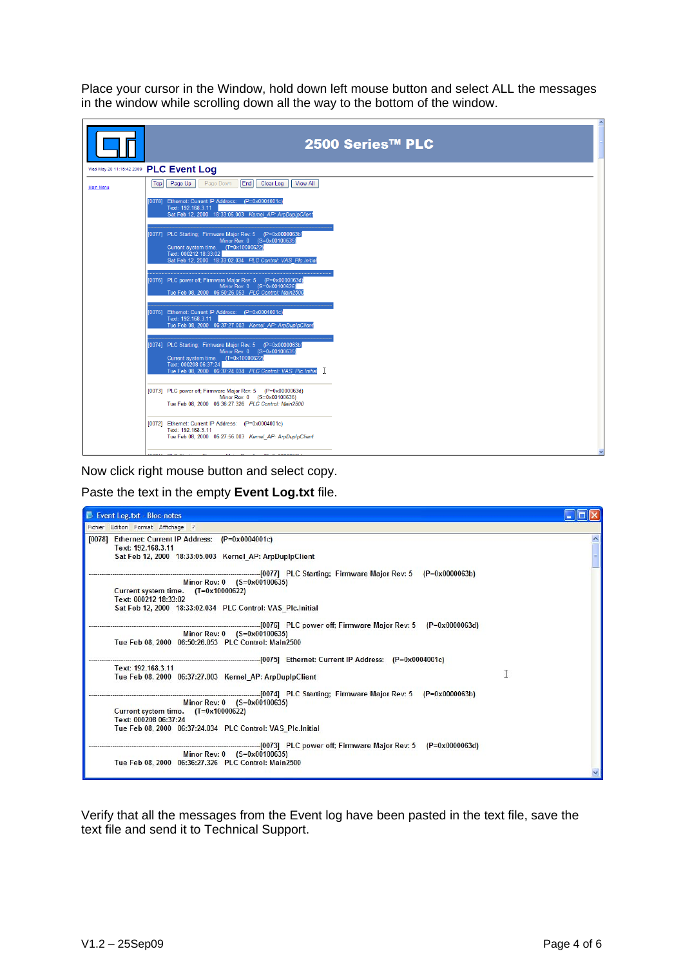Place your cursor in the Window, hold down left mouse button and select ALL the messages in the window while scrolling down all the way to the bottom of the window.

|                                        | 2500 Series™ PLC                                                                                                                                                                                                          |  |  |  |  |  |  |  |
|----------------------------------------|---------------------------------------------------------------------------------------------------------------------------------------------------------------------------------------------------------------------------|--|--|--|--|--|--|--|
| Wed May 20 11:15:42 2009 PLC Event Log |                                                                                                                                                                                                                           |  |  |  |  |  |  |  |
| Main Menu                              | Top<br>Page Up<br>Page Down<br>End<br>Clear Log<br><b>View All</b>                                                                                                                                                        |  |  |  |  |  |  |  |
|                                        | [0078] Ethernet: Current IP Address: (P=0x0004001c)<br>Text: 192.168.3.11<br>Sat Feb 12, 2000 18:33:05.003 Kemel AP: ArpDupIpClient                                                                                       |  |  |  |  |  |  |  |
|                                        | [0077] PLC Starting; Firmware Major Rev: 5 (P=0x0000063b)<br>Minor Rev: 0 (S=0x00100635)<br>Current system time. (T=0x10000622)<br>Text: 000212 18:33:02<br>Sat Feb 12, 2000 18:33:02.034 PLC Control: VAS Plc.Initial    |  |  |  |  |  |  |  |
|                                        | [0076] PLC power off; Firmware Major Rev: 5 (P=0x0000063d)<br>Minor Rev: 0 (S=0x00100635)<br>Tue Feb 08, 2000  06:50:26.053  PLC Control: Main2500                                                                        |  |  |  |  |  |  |  |
|                                        | [0075] Ethernet: Current IP Address: (P=0x0004001c)<br>Text: 192.168.3.11<br>Tue Feb 08, 2000  06:37:27.003  Kernel AP: ArpDupIpClient                                                                                    |  |  |  |  |  |  |  |
|                                        | [0074] PLC Starting; Firmware Major Rev: 5 (P=0x0000063b)<br>Minor Rev: 0 (S=0x00100635)<br>Current system time. (T=0x10000622)<br>Text: 000208 06:37:24<br>Tue Feb 08, 2000  06:37:24.034  PLC Control: VAS  Plc.Initial |  |  |  |  |  |  |  |
|                                        | [0073] PLC power off; Firmware Major Rev: 5 (P=0x0000063d)<br>Minor Rev: 0 (S=0x00100635)<br>Tue Feb 08, 2000 06:36:27.326 PLC Control: Main2500                                                                          |  |  |  |  |  |  |  |
|                                        | [0072] Ethernet: Current IP Address: (P=0x0004001c)<br>Text: 192.168.3.11<br>Tue Feb 08, 2000 06:27:56.003 Kernel AP: ArpDupIpClient                                                                                      |  |  |  |  |  |  |  |
|                                        | .                                                                                                                                                                                                                         |  |  |  |  |  |  |  |

Now click right mouse button and select copy.

Paste the text in the empty **Event Log.txt** file.

| Event Log.txt - Bloc-notes                                                                                                                                  |  |
|-------------------------------------------------------------------------------------------------------------------------------------------------------------|--|
| Edition Format Affichage ?<br>Fichier                                                                                                                       |  |
| [0078] Ethernet: Current IP Address: (P=0x0004001c)<br>Text: 192,168,3,11<br>Sat Feb 12, 2000 18:33:05.003 Kernel_AP: ArpDupIpClient                        |  |
| Minor Rev: 0 (S=0x00100635)<br>Current system time. (T=0x10000622)<br>Text: 000212 18:33:02<br>Sat Feb 12, 2000 18:33:02.034 PLC Control: VAS Plc.Initial   |  |
| Minor Rev: 0 (S=0x00100635)<br>Tue Feb 08, 2000 06:50:26.053 PLC Control: Main2500                                                                          |  |
| Text: 192, 168, 3, 11<br>Tue Feb 08, 2000 06:37:27.003 Kernel AP: ArpDupIpClient                                                                            |  |
| Minor Rev: 0 (S=0x00100635)<br>Current system time. $(T=0x10000622)$<br>Text: 000208 06:37:24<br>Tue Feb 08, 2000 06:37:24.034 PLC Control: VAS Plc.Initial |  |
| Minor Rev: 0 (S=0x00100635)<br>Tue Feb 08, 2000 06:36:27.326 PLC Control: Main2500                                                                          |  |

Verify that all the messages from the Event log have been pasted in the text file, save the text file and send it to Technical Support.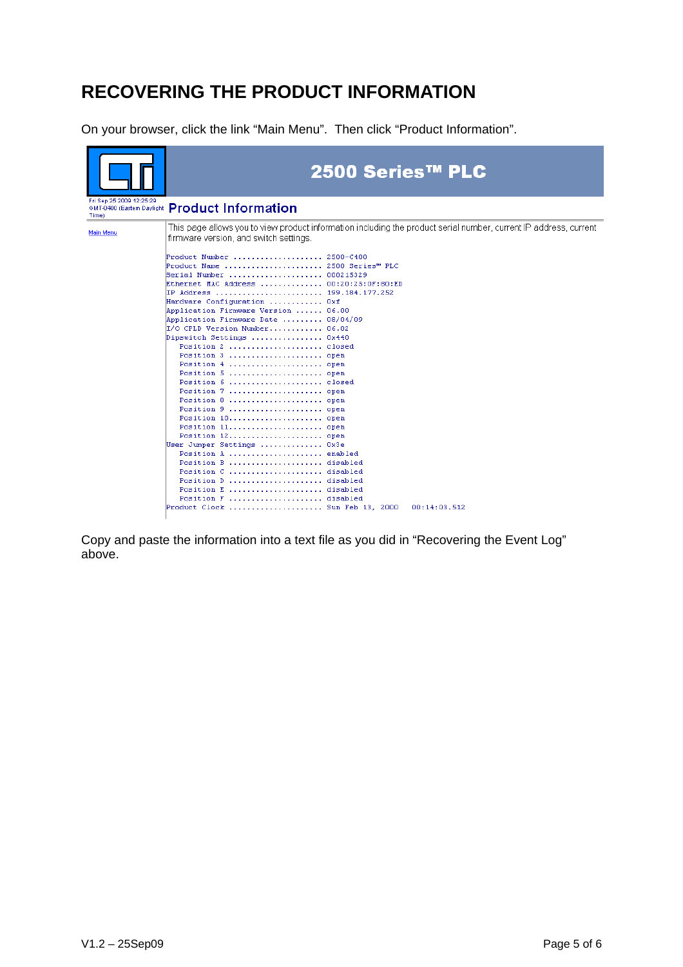## **RECOVERING THE PRODUCT INFORMATION**

On your browser, click the link "Main Menu". Then click "Product Information".

|                                   | 2500 Series™ PLC                                                                                                                                            |
|-----------------------------------|-------------------------------------------------------------------------------------------------------------------------------------------------------------|
| Fri Sep 25 2009 12:25:29<br>Time) | GMT-0400 (Eastern Daylight Product Information                                                                                                              |
| Main Menu                         | This page allows you to view product information including the product serial number, current IP address, current<br>firmware version, and switch settings. |
|                                   | Product Number<br>2500-C400<br>Product Name  2500 Series™ PLC<br> Serial Number  000215329                                                                  |
|                                   | Ethernet MAC Address<br>00:20:25:0F:80:ED<br>IP Address  199.184.177.252<br>Hardware Configuration  Oxf<br>Application Firmware Version  06.00              |
|                                   | 08/04/09<br>Application Firmware Date<br>I/O CPLD Version Number<br>06.02<br>Dipswitch Settings  0x440<br>Position 2  closed                                |
|                                   | Position 3  open<br>Position 4  open<br>Position 5  open                                                                                                    |
|                                   | Position 6  closed<br>Position 7  open<br>Position 8  open                                                                                                  |
|                                   | Position 9<br>open<br>Position 10<br>open<br>Position 11 open<br>Position 12 open                                                                           |
|                                   | User Jumper Settings  Ox3e<br>Position A<br>enabled<br>Position B<br>disabled                                                                               |
|                                   | Position C  disabled<br>Position D  disabled<br>Position E  disabled                                                                                        |
|                                   | Position F  disabled<br>Product Clock  Sun Feb 13, 2000<br>00:14:03.512                                                                                     |

Copy and paste the information into a text file as you did in "Recovering the Event Log" above.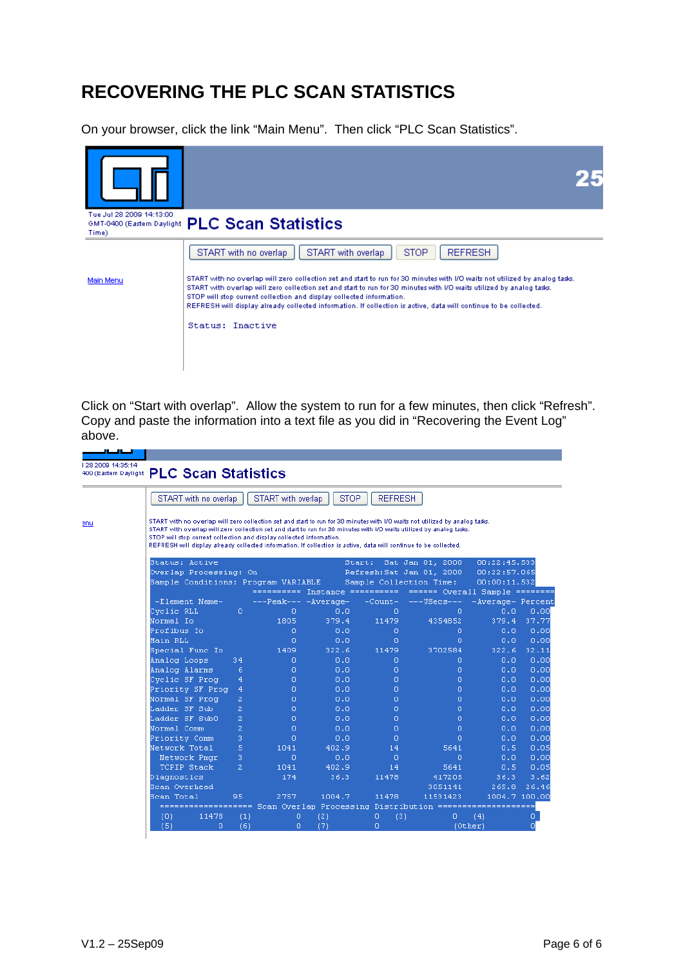# **RECOVERING THE PLC SCAN STATISTICS**

On your browser, click the link "Main Menu". Then click "PLC Scan Statistics".



Click on "Start with overlap". Allow the system to run for a few minutes, then click "Refresh". Copy and paste the information into a text file as you did in "Recovering the Event Log" above.

| 128 2009 14:35:14 | 400 (Eastern Daylight PLC Scan Statistics                                                                                                                                                                                                                                                                                                                                                                                                       |                |                                |        |                |                                |                   |               |  |  |
|-------------------|-------------------------------------------------------------------------------------------------------------------------------------------------------------------------------------------------------------------------------------------------------------------------------------------------------------------------------------------------------------------------------------------------------------------------------------------------|----------------|--------------------------------|--------|----------------|--------------------------------|-------------------|---------------|--|--|
|                   | START with no overlap                                                                                                                                                                                                                                                                                                                                                                                                                           |                | START with overlap             | STOP   | <b>REFRESH</b> |                                |                   |               |  |  |
| enu               | START with no overlap will zero collection set and start to run for 30 minutes with I/O waits not utilized by analog tasks.<br>START with overlap will zero collection set and start to run for 30 minutes with I/O waits utilized by analog tasks.<br>STOP will stop current collection and display collected information.<br>REFRESH will display already collected information. If collection is active, data will continue to be collected. |                |                                |        |                |                                |                   |               |  |  |
|                   | Status: Active                                                                                                                                                                                                                                                                                                                                                                                                                                  |                |                                |        | Start:         | Sat Jan 01, 2000               | 00:22:45.533      |               |  |  |
|                   | Overlap Processing: On                                                                                                                                                                                                                                                                                                                                                                                                                          |                |                                |        |                | Refresh: Sat Jan 01, 2000      | 00:22:57.065      |               |  |  |
|                   | Sample Conditions: Program VARIABLE                                                                                                                                                                                                                                                                                                                                                                                                             |                |                                |        |                | Sample Collection Time:        | 00:00:11.532      |               |  |  |
|                   |                                                                                                                                                                                                                                                                                                                                                                                                                                                 |                | ========== Instance ========== |        |                | ====== Overall Sample ======== |                   |               |  |  |
|                   | -Element Name-                                                                                                                                                                                                                                                                                                                                                                                                                                  |                | ---Peak--- -Average-           |        | $-Count -$     | ---USecs---                    | -Average- Percent |               |  |  |
|                   | Cyclic RLL                                                                                                                                                                                                                                                                                                                                                                                                                                      | 0              | 0                              | 0.0    | 0              | o                              | 0.0               | 0.00          |  |  |
|                   | Normal Io                                                                                                                                                                                                                                                                                                                                                                                                                                       |                | 1805                           | 379.4  | 11479          | 4354852                        | 379.4             | 37.77         |  |  |
|                   | Profibus Io                                                                                                                                                                                                                                                                                                                                                                                                                                     |                | 0                              | 0.0    | o              | 0                              | 0.0               | 0.00          |  |  |
|                   | Main RLL                                                                                                                                                                                                                                                                                                                                                                                                                                        |                | o                              | 0.0    | o              | Ω                              | 0.0               | 0.00          |  |  |
|                   | Special Func Io                                                                                                                                                                                                                                                                                                                                                                                                                                 |                | 1409                           | 322.6  | 11479          | 3702584                        | 322.6             | 32.11         |  |  |
|                   | Analog Loops                                                                                                                                                                                                                                                                                                                                                                                                                                    | 34             | 0                              | 0.0    | Ō.             | 0.                             | 0.0               | 0.00          |  |  |
|                   | Analog Alarms                                                                                                                                                                                                                                                                                                                                                                                                                                   | 6              | o                              | 0.0    | O.             | 0.                             | 0.0               | 0.00          |  |  |
|                   | Cyclic SF Prog                                                                                                                                                                                                                                                                                                                                                                                                                                  | 4              | 0.                             | 0.0    | o              | 0                              | 0.0               | 0.00          |  |  |
|                   | Priority SF Prog                                                                                                                                                                                                                                                                                                                                                                                                                                | 4              | 0.                             | 0.0    | o              | o                              | 0.0               | 0.00          |  |  |
|                   | Normal SF Prog                                                                                                                                                                                                                                                                                                                                                                                                                                  | $\overline{2}$ | o                              | 0.0    | o              | 0                              | 0.0               | 0.00          |  |  |
|                   | Ladder SF Sub                                                                                                                                                                                                                                                                                                                                                                                                                                   | $\overline{a}$ | 0                              | 0.0    | o              | 0.                             | 0.0               | 0.00          |  |  |
|                   | Ladder SF SubO                                                                                                                                                                                                                                                                                                                                                                                                                                  | $\overline{a}$ | 0                              | 0.0    | o              | 0.                             | 0.0               | 0.00          |  |  |
|                   | Normal Comm                                                                                                                                                                                                                                                                                                                                                                                                                                     | $\overline{a}$ | n                              | 0.0    | n              | $\Box$                         | 0.0               | 0.00          |  |  |
|                   | Priority Comm                                                                                                                                                                                                                                                                                                                                                                                                                                   | з              | o                              | 0.0    | o              | Ω                              | 0.0               | 0.00          |  |  |
|                   | Network Total                                                                                                                                                                                                                                                                                                                                                                                                                                   | 5              | 1041                           | 402.9  | 14             | 5641                           | 0.5               | 0.05          |  |  |
|                   | Network Pmgr                                                                                                                                                                                                                                                                                                                                                                                                                                    | 3.             | n.                             | 0.0    | 0              | 0                              | 0.0               | 0.00          |  |  |
|                   | TCPIP Stack                                                                                                                                                                                                                                                                                                                                                                                                                                     | $\overline{a}$ | 1041                           | 402.9  | 14             | 5641                           | 0.5               | 0.05          |  |  |
|                   | Diagnostics                                                                                                                                                                                                                                                                                                                                                                                                                                     |                | 174                            | 36.3   | 11478          | 417205                         | 36.3              | 3.62          |  |  |
|                   | Scan Overhead                                                                                                                                                                                                                                                                                                                                                                                                                                   |                |                                |        |                | 3051141                        | 265.8             | 26.46         |  |  |
|                   | Scan Total                                                                                                                                                                                                                                                                                                                                                                                                                                      | 95             | 2757                           | 1004.7 | 11478          | 11531423                       |                   | 1004.7 100.00 |  |  |
|                   | ================== Scan Overlap Processing Distribution ====================                                                                                                                                                                                                                                                                                                                                                                    |                |                                |        |                |                                |                   |               |  |  |
|                   | (0)<br>11478                                                                                                                                                                                                                                                                                                                                                                                                                                    | (1)            | 0                              | (2)    | (3)<br>0       | 0                              | (4)               | 0.            |  |  |
|                   | (5)<br>n.                                                                                                                                                                                                                                                                                                                                                                                                                                       | (6)            | n                              | (7)    | o              | (Other)                        |                   | п             |  |  |
|                   |                                                                                                                                                                                                                                                                                                                                                                                                                                                 |                |                                |        |                |                                |                   |               |  |  |